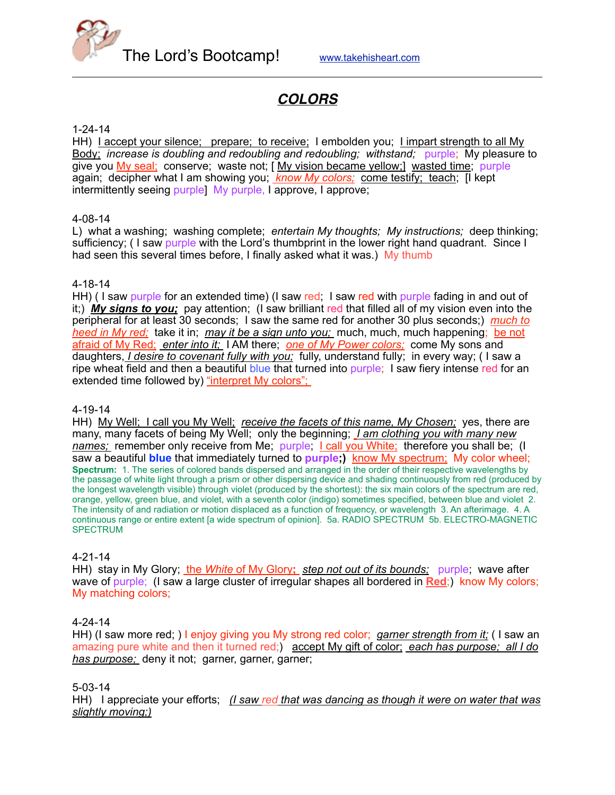

# *COLORS*

#### 1-24-14

HH) Laccept your silence; prepare; to receive; I embolden you; Limpart strength to all My Body; *increase is doubling and redoubling and redoubling; withstand;* purple; My pleasure to give you My seal; conserve; waste not; [ My vision became yellow;] wasted time; purple again; decipher what I am showing you; *know My colors;* come testify; teach; [I kept intermittently seeing purple) My purple, I approve, I approve;

#### 4-08-14

L) what a washing; washing complete; *entertain My thoughts; My instructions;* deep thinking; sufficiency; (I saw purple with the Lord's thumbprint in the lower right hand quadrant. Since I had seen this several times before, I finally asked what it was.) My thumb

#### 4-18-14

HH) (I saw purple for an extended time) (I saw red; I saw red with purple fading in and out of it;) *My signs to you;* pay attention; (I saw brilliant red that filled all of my vision even into the peripheral for at least 30 seconds; I saw the same red for another 30 plus seconds;) *much to heed in My red;* take it in; *may it be a sign unto you;* much, much, much happening; be not afraid of My Red; *enter into it;* I AM there; *one of My Power colors;* come My sons and daughters, *I desire to covenant fully with you;* fully, understand fully; in every way; ( I saw a ripe wheat field and then a beautiful blue that turned into purple; I saw fiery intense red for an extended time followed by) "interpret My colors";

#### 4-19-14

HH) My Well; I call you My Well; *receive the facets of this name, My Chosen;* yes, there are many, many facets of being My Well; only the beginning; *I am clothing you with many new names;* remember only receive from Me; purple; I call you White; therefore you shall be; (I saw a beautiful **blue** that immediately turned to **purple;)** know My spectrum; My color wheel; **Spectrum:** 1. The series of colored bands dispersed and arranged in the order of their respective wavelengths by the passage of white light through a prism or other dispersing device and shading continuously from red (produced by the longest wavelength visible) through violet (produced by the shortest): the six main colors of the spectrum are red, orange, yellow, green blue, and violet, with a seventh color (indigo) sometimes specified, between blue and violet 2. The intensity of and radiation or motion displaced as a function of frequency, or wavelength 3. An afterimage. 4. A continuous range or entire extent [a wide spectrum of opinion]. 5a. RADIO SPECTRUM 5b. ELECTRO-MAGNETIC SPECTRUM

#### 4-21-14

HH) stay in My Glory; the *White* of My Glory**;** *step not out of its bounds;* purple; wave after wave of purple; (I saw a large cluster of irregular shapes all bordered in **Red**;) know My colors; My matching colors;

#### 4-24-14

HH) (I saw more red; ) I enjoy giving you My strong red color; *garner strength from it;* (I saw an amazing pure white and then it turned red;) accept My gift of color; *each has purpose; all I do has purpose;* deny it not; garner, garner, garner;

#### 5-03-14

HH) I appreciate your efforts; *(I saw red that was dancing as though it were on water that was slightly moving;)*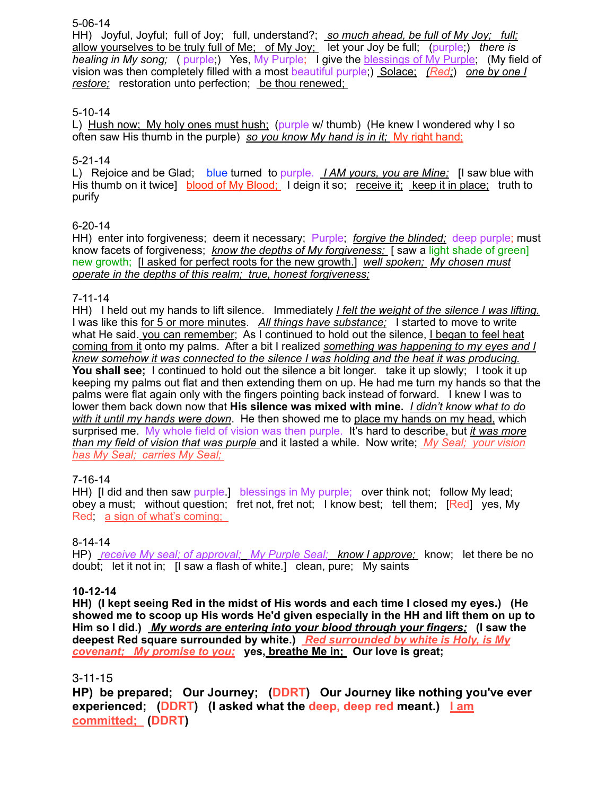#### 5-06-14

HH) Joyful, Joyful; full of Joy; full, understand?; *so much ahead, be full of My Joy; full;* allow yourselves to be truly full of Me; of My Joy; let your Joy be full; (purple;) there is *healing in My song;* ( purple;) Yes, My Purple; I give the blessings of My Purple; (My field of vision was then completely filled with a most beautiful purple;) Solace; *(Red;*) *one by one I restore;* restoration unto perfection; be thou renewed;

## 5-10-14

L) Hush now; My holy ones must hush; (purple w/ thumb) (He knew I wondered why I so often saw His thumb in the purple) *so you know My hand is in it;* My right hand;

## 5-21-14

L) Rejoice and be Glad; blue turned to purple. *I AM yours, you are Mine;* [I saw blue with His thumb on it twice] blood of My Blood; I deign it so; receive it; keep it in place; truth to purify

## 6-20-14

HH) enter into forgiveness; deem it necessary; Purple; *forgive the blinded;* deep purple; must know facets of forgiveness; *know the depths of My forgiveness;* [ saw a light shade of green] new growth; [I asked for perfect roots for the new growth.] *well spoken; My chosen must operate in the depths of this realm; true, honest forgiveness;*

#### 7-11-14

HH) I held out my hands to lift silence. Immediately *I felt the weight of the silence I was lifting.* I was like this for 5 or more minutes. *All things have substance;* I started to move to write what He said. you can remember; As I continued to hold out the silence. I began to feel heat coming from it onto my palms. After a bit I realized *something was happening to my eyes and I knew somehow it was connected to the silence I was holding and the heat it was producing.* **You shall see;** I continued to hold out the silence a bit longer. take it up slowly; I took it up keeping my palms out flat and then extending them on up. He had me turn my hands so that the palms were flat again only with the fingers pointing back instead of forward. I knew I was to lower them back down now that **His silence was mixed with mine.** *I didn't know what to do with it until my hands were down*. He then showed me to place my hands on my head, which surprised me. My whole field of vision was then purple. It's hard to describe, but *it was more than my field of vision that was purple* and it lasted a while. Now write; *My Seal; your vision has My Seal; carries My Seal;* 

## 7-16-14

HH) [I did and then saw purple.] blessings in My purple; over think not; follow My lead; obey a must; without question; fret not, fret not; I know best; tell them; [Red] yes, My Red; a sign of what's coming;

## 8-14-14

HP) *receive My seal; of approval; My Purple Seal; know I approve;* know; let there be no doubt; let it not in; [I saw a flash of white.] clean, pure; My saints

## **10-12-14**

**HH) (I kept seeing Red in the midst of His words and each time I closed my eyes.) (He showed me to scoop up His words He'd given especially in the HH and lift them on up to Him so I did.)** *My words are entering into your blood through your fingers;* **(I saw the deepest Red square surrounded by white.)** *Red surrounded by white is Holy, is My covenant; My promise to you;* **yes, breathe Me in; Our love is great;**

## 3-11-15

**HP) be prepared; Our Journey; (DDRT) Our Journey like nothing you've ever experienced; (DDRT) (I asked what the deep, deep red meant.) I am committed; (DDRT)**